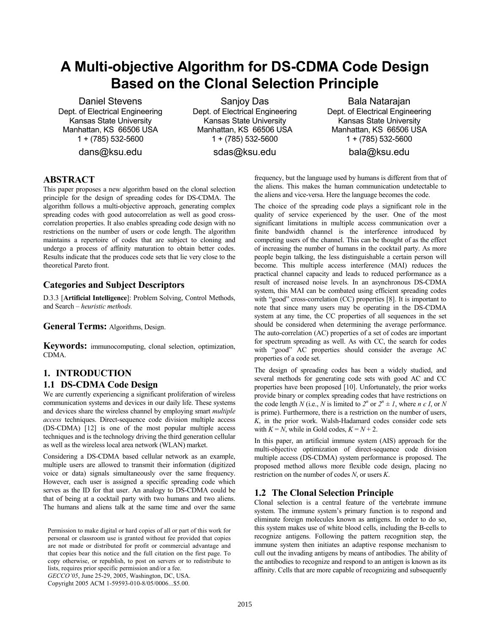# **A Multi-objective Algorithm for DS-CDMA Code Design Based on the Clonal Selection Principle**

Sanjoy Das Dept. of Electrical Engineering Kansas State University

Daniel Stevens Dept. of Electrical Engineering Kansas State University Manhattan, KS 66506 USA 1 + (785) 532-5600 dans@ksu.edu

Manhattan, KS 66506 USA 1 + (785) 532-5600

sdas@ksu.edu

Bala Natarajan Dept. of Electrical Engineering Kansas State University Manhattan, KS 66506 USA 1 + (785) 532-5600

bala@ksu.edu

# **ABSTRACT**

This paper proposes a new algorithm based on the clonal selection principle for the design of spreading codes for DS-CDMA. The algorithm follows a multi-objective approach, generating complex spreading codes with good autocorrelation as well as good crosscorrelation properties. It also enables spreading code design with no restrictions on the number of users or code length. The algorithm maintains a repertoire of codes that are subject to cloning and undergo a process of affinity maturation to obtain better codes. Results indicate that the produces code sets that lie very close to the theoretical Pareto front.

## **Categories and Subject Descriptors**

D.3.3 [**Artificial Intelligence**]: Problem Solving, Control Methods, and Search – *heuristic methods.*

**General Terms:** Algorithms, Design.

**Keywords:** immunocomputing, clonal selection, optimization, CDMA.

# **1. INTRODUCTION**

### **1.1 DS-CDMA Code Design**

We are currently experiencing a significant proliferation of wireless communication systems and devices in our daily life. These systems and devices share the wireless channel by employing smart *multiple access* techniques. Direct-sequence code division multiple access (DS-CDMA) [12] is one of the most popular multiple access techniques and is the technology driving the third generation cellular as well as the wireless local area network (WLAN) market.

Considering a DS-CDMA based cellular network as an example, multiple users are allowed to transmit their information (digitized voice or data) signals simultaneously over the same frequency. However, each user is assigned a specific spreading code which serves as the ID for that user. An analogy to DS-CDMA could be that of being at a cocktail party with two humans and two aliens. The humans and aliens talk at the same time and over the same

*GECCO'05*, June 25-29, 2005, Washington, DC, USA.

Copyright 2005 ACM 1-59593-010-8/05/0006...\$5.00.

frequency, but the language used by humans is different from that of the aliens. This makes the human communication undetectable to the aliens and vice-versa. Here the language becomes the code.

The choice of the spreading code plays a significant role in the quality of service experienced by the user. One of the most significant limitations in multiple access communication over a finite bandwidth channel is the interference introduced by competing users of the channel. This can be thought of as the effect of increasing the number of humans in the cocktail party. As more people begin talking, the less distinguishable a certain person will become. This multiple access interference (MAI) reduces the practical channel capacity and leads to reduced performance as a result of increased noise levels. In an asynchronous DS-CDMA system, this MAI can be combated using efficient spreading codes with "good" cross-correlation (CC) properties [8]. It is important to note that since many users may be operating in the DS-CDMA system at any time, the CC properties of all sequences in the set should be considered when determining the average performance. The auto-correlation (AC) properties of a set of codes are important for spectrum spreading as well. As with CC, the search for codes with "good" AC properties should consider the average AC properties of a code set.

The design of spreading codes has been a widely studied, and several methods for generating code sets with good AC and CC properties have been proposed [10]. Unfortunately, the prior works provide binary or complex spreading codes that have restrictions on the code length *N* (i.e., *N* is limited to  $2^n$  or  $2^n \pm 1$ , where *n*  $\epsilon$  *I*, or *N* is prime). Furthermore, there is a restriction on the number of users, *K*, in the prior work. Walsh-Hadamard codes consider code sets with  $K = N$ , while in Gold codes,  $K = N + 2$ .

In this paper, an artificial immune system (AIS) approach for the multi-objective optimization of direct-sequence code division multiple access (DS-CDMA) system performance is proposed. The proposed method allows more flexible code design, placing no restriction on the number of codes *N*, or users *K*.

# **1.2 The Clonal Selection Principle**

Clonal selection is a central feature of the vertebrate immune system. The immune system's primary function is to respond and eliminate foreign molecules known as antigens. In order to do so, this system makes use of white blood cells, including the B-cells to recognize antigens. Following the pattern recognition step, the immune system then initiates an adaptive response mechanism to cull out the invading antigens by means of antibodies. The ability of the antibodies to recognize and respond to an antigen is known as its affinity. Cells that are more capable of recognizing and subsequently

Permission to make digital or hard copies of all or part of this work for personal or classroom use is granted without fee provided that copies are not made or distributed for profit or commercial advantage and that copies bear this notice and the full citation on the first page. To copy otherwise, or republish, to post on servers or to redistribute to lists, requires prior specific permission and/or a fee.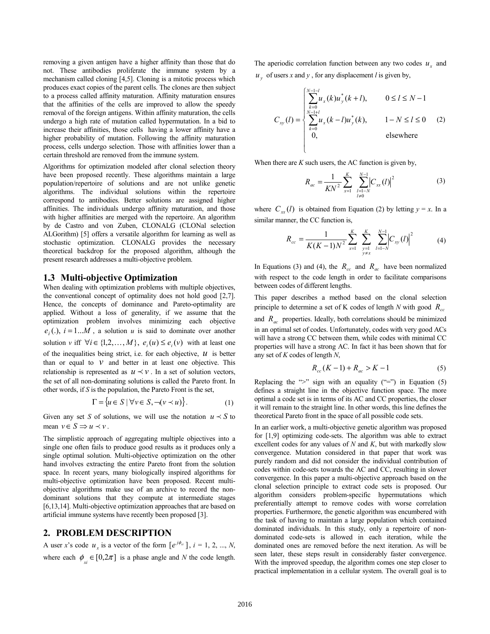removing a given antigen have a higher affinity than those that do not. These antibodies proliferate the immune system by a mechanism called cloning [4,5]. Cloning is a mitotic process which produces exact copies of the parent cells. The clones are then subject to a process called affinity maturation. Affinity maturation ensures that the affinities of the cells are improved to allow the speedy removal of the foreign antigens. Within affinity maturation, the cells undergo a high rate of mutation called hypermutation. In a bid to increase their affinities, those cells having a lower affinity have a higher probability of mutation. Following the affinity maturation process, cells undergo selection. Those with affinities lower than a certain threshold are removed from the immune system.

Algorithms for optimization modeled after clonal selection theory have been proposed recently. These algorithms maintain a large population/repertoire of solutions and are not unlike genetic algorithms. The individual solutions within the repertoire correspond to antibodies. Better solutions are assigned higher affinities. The individuals undergo affinity maturation, and those with higher affinities are merged with the repertoire. An algorithm by de Castro and von Zuben, CLONALG (CLONal selection ALGorithm) [5] offers a versatile algorithm for learning as well as stochastic optimization. CLONALG provides the necessary theoretical backdrop for the proposed algorithm, although the present research addresses a multi-objective problem.

# **1.3 Multi-objective Optimization**

When dealing with optimization problems with multiple objectives, the conventional concept of optimality does not hold good [2,7]. Hence, the concepts of dominance and Pareto-optimality are applied. Without a loss of generality, if we assume that the optimization problem involves minimizing each objective  $e_i(.)$ ,  $i = 1...M$ , a solution *u* is said to dominate over another solution *v* iff  $\forall i \in \{1, 2, ..., M\}$ ,  $e_i(u) \leq e_i(v)$  with at least one of the inequalities being strict, i.e. for each objective,  $u$  is better than or equal to  $V$  and better in at least one objective. This relationship is represented as  $u \prec v$ . In a set of solution vectors, the set of all non-dominating solutions is called the Pareto front. In other words, if *S* is the population, the Pareto Front is the set,

$$
\Gamma = \{ u \in S \mid \forall v \in S, \neg(v \prec u) \}.
$$
 (1)

Given any set *S* of solutions, we will use the notation  $u \prec S$  to mean  $v \in S \implies u \prec v$ .

The simplistic approach of aggregating multiple objectives into a single one often fails to produce good results as it produces only a single optimal solution. Multi-objective optimization on the other hand involves extracting the entire Pareto front from the solution space. In recent years, many biologically inspired algorithms for multi-objective optimization have been proposed. Recent multiobjective algorithms make use of an archive to record the nondominant solutions that they compute at intermediate stages [6,13,14]. Multi-objective optimization approaches that are based on artificial immune systems have recently been proposed [3].

# **2. PROBLEM DESCRIPTION**

A user *x*'s code  $u_x$  is a vector of the form  $[e^{j\phi_x}$ ],  $i = 1, 2, ..., N$ , where each  $\phi$   $\in$  [0,2 $\pi$ ] *is a phase angle and N the code length.* 

The aperiodic correlation function between any two codes  $u<sub>r</sub>$  and  $u<sub>v</sub>$  of users *x* and *y*, for any displacement *l* is given by,

$$
C_{xy}(l) = \begin{cases} \sum_{k=0}^{N-1-l} u_x(k) u_y^*(k+l), & 0 \le l \le N-1\\ \sum_{k=0}^{N-1+l} u_x(k-l) u_y^*(k), & 1-N \le l \le 0\\ 0, & \text{elsewhere} \end{cases}
$$
 (2)

When there are  $K$  such users, the AC function is given by,

$$
R_{ac} = \frac{1}{KN^2} \sum_{x=1}^{K} \sum_{\substack{l=1-N \ l \neq 0}}^{N-1} \left| C_{xx}(l) \right|^2 \tag{3}
$$

where  $C_{xx}(l)$  is obtained from Equation (2) by letting  $y = x$ . In a similar manner, the CC function is,

$$
R_{cc} = \frac{1}{K(K-1)N^2} \sum_{x=1}^{K} \sum_{\substack{y=1 \ y \neq x}}^{K} \sum_{l=1-N}^{N-1} |C_{xy}(l)|^2 \tag{4}
$$

In Equations (3) and (4), the  $R_{cc}$  and  $R_{ac}$  have been normalized with respect to the code length in order to facilitate comparisons between codes of different lengths.

This paper describes a method based on the clonal selection principle to determine a set of K codes of length *N* with good  $R_{cc}$ and  $R_{ac}$  properties. Ideally, both correlations should be minimized in an optimal set of codes. Unfortunately, codes with very good ACs will have a strong CC between them, while codes with minimal CC properties will have a strong AC. In fact it has been shown that for any set of *K* codes of length *N*,

$$
R_{cc}(K-1) + R_{ac} > K - 1 \tag{5}
$$

Replacing the ">" sign with an equality ("=") in Equation  $(5)$ defines a straight line in the objective function space. The more optimal a code set is in terms of its AC and CC properties, the closer it will remain to the straight line. In other words, this line defines the theoretical Pareto front in the space of all possible code sets.

In an earlier work, a multi-objective genetic algorithm was proposed for [1,9] optimizing code-sets. The algorithm was able to extract excellent codes for any values of *N* and *K*, but with markedly slow convergence. Mutation considered in that paper that work was purely random and did not consider the individual contribution of codes within code-sets towards the AC and CC, resulting in slower convergence. In this paper a multi-objective approach based on the clonal selection principle to extract code sets is proposed. Our algorithm considers problem-specific hypermutations which preferentially attempt to remove codes with worse correlation properties. Furthermore, the genetic algorithm was encumbered with the task of having to maintain a large population which contained dominated individuals. In this study, only a repertoire of nondominated code-sets is allowed in each iteration, while the dominated ones are removed before the next iteration. As will be seen later, these steps result in considerably faster convergence. With the improved speedup, the algorithm comes one step closer to practical implementation in a cellular system. The overall goal is to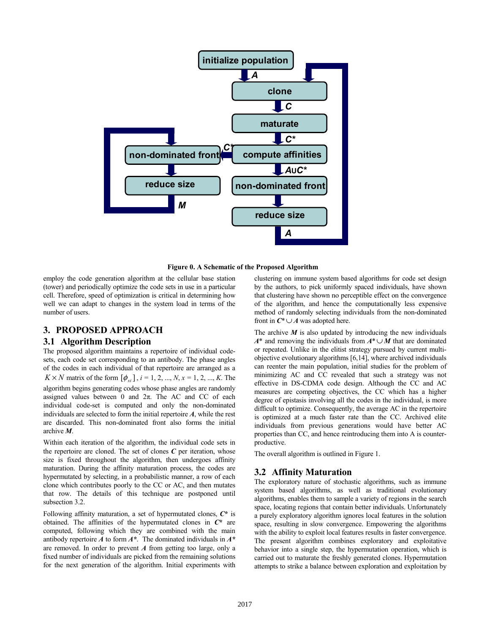

**Figure 0. A Schematic of the Proposed Algorithm** 

employ the code generation algorithm at the cellular base station (tower) and periodically optimize the code sets in use in a particular cell. Therefore, speed of optimization is critical in determining how well we can adapt to changes in the system load in terms of the number of users.

# **3. PROPOSED APPROACH**

# **3.1 Algorithm Description**

The proposed algorithm maintains a repertoire of individual codesets, each code set corresponding to an antibody. The phase angles of the codes in each individual of that repertoire are arranged as a  $K \times N$  matrix of the form  $[\phi_{xi}]$ ,  $i = 1, 2, ..., N$ ,  $x = 1, 2, ..., K$ . The algorithm begins generating codes whose phase angles are randomly assigned values between 0 and  $2\pi$ . The AC and CC of each individual code-set is computed and only the non-dominated individuals are selected to form the initial repertoire *A*, while the rest are discarded. This non-dominated front also forms the initial archive *M*.

Within each iteration of the algorithm, the individual code sets in the repertoire are cloned. The set of clones *C* per iteration, whose size is fixed throughout the algorithm, then undergoes affinity maturation. During the affinity maturation process, the codes are hypermutated by selecting, in a probabilistic manner, a row of each clone which contributes poorly to the CC or AC, and then mutates that row. The details of this technique are postponed until subsection 3.2.

Following affinity maturation, a set of hypermutated clones, *C***\*** is obtained. The affinities of the hypermutated clones in *C***\*** are computed, following which they are combined with the main antibody repertoire *A* to form *A\**. The dominated individuals in *A\** are removed. In order to prevent *A* from getting too large, only a fixed number of individuals are picked from the remaining solutions for the next generation of the algorithm. Initial experiments with

clustering on immune system based algorithms for code set design by the authors, to pick uniformly spaced individuals, have shown that clustering have shown no perceptible effect on the convergence of the algorithm, and hence the computationally less expensive method of randomly selecting individuals from the non-dominated front in  $C^* \cup A$  was adopted here.

The archive  $M$  is also updated by introducing the new individuals *A*<sup>\*</sup> and removing the individuals from  $A^*$ ∪ *M* that are dominated or repeated. Unlike in the elitist strategy pursued by current multiobjective evolutionary algorithms [6,14], where archived individuals can reenter the main population, initial studies for the problem of minimizing AC and CC revealed that such a strategy was not effective in DS-CDMA code design. Although the CC and AC measures are competing objectives, the CC which has a higher degree of epistasis involving all the codes in the individual, is more difficult to optimize. Consequently, the average AC in the repertoire is optimized at a much faster rate than the CC. Archived elite individuals from previous generations would have better AC properties than CC, and hence reintroducing them into A is counterproductive.

The overall algorithm is outlined in Figure 1.

# **3.2 Affinity Maturation**

The exploratory nature of stochastic algorithms, such as immune system based algorithms, as well as traditional evolutionary algorithms, enables them to sample a variety of regions in the search space, locating regions that contain better individuals. Unfortunately a purely exploratory algorithm ignores local features in the solution space, resulting in slow convergence. Empowering the algorithms with the ability to exploit local features results in faster convergence. The present algorithm combines exploratory and exploitative behavior into a single step, the hypermutation operation, which is carried out to maturate the freshly generated clones. Hypermutation attempts to strike a balance between exploration and exploitation by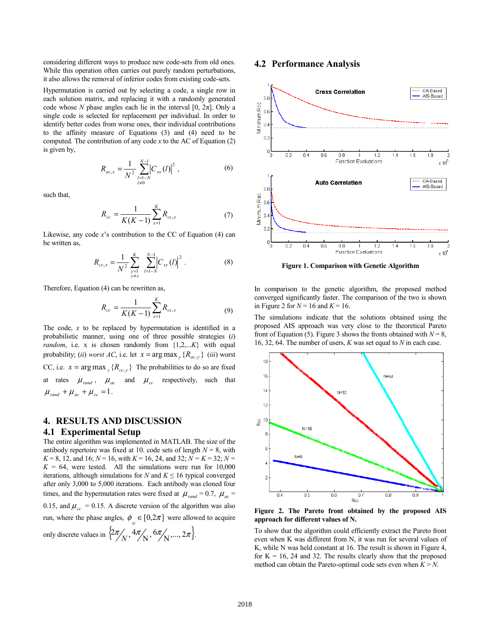considering different ways to produce new code-sets from old ones. While this operation often carries out purely random perturbations, it also allows the removal of inferior codes from existing code-sets.

Hypermutation is carried out by selecting a code, a single row in each solution matrix, and replacing it with a randomly generated code whose *N* phase angles each lie in the interval  $[0, 2\pi]$ . Only a single code is selected for replacement per individual. In order to identify better codes from worse ones, their individual contributions to the affinity measure of Equations (3) and (4) need to be computed. The contribution of any code *x* to the AC of Equation (2) is given by,

$$
R_{ac,x} = \frac{1}{N^2} \sum_{\substack{l=1-N \ l \neq 0}}^{N-1} \left| C_{xx}(l) \right|^2 , \qquad (6)
$$

such that,

$$
R_{cc} = \frac{1}{K(K-1)} \sum_{x=1}^{K} R_{cc,x}
$$
 (7)

Likewise, any code *x*'s contribution to the CC of Equation (4) can be written as,

$$
R_{cc,x} = \frac{1}{N^2} \sum_{\substack{y=1 \ y \neq x}}^{K} \sum_{l=1-N}^{N-1} \left| C_{xy}(l) \right|^2.
$$
 (8)

Therefore, Equation (4) can be rewritten as,

$$
R_{cc} = \frac{1}{K(K-1)} \sum_{x=1}^{K} R_{cc,x}
$$
 (9)

The code, *x* to be replaced by hypermutation is identified in a probabilistic manner, using one of three possible strategies (*i*) *random*, i.e. x is chosen randomly from  $\{1,2,...K\}$  with equal probability; (*ii*) *worst AC*, i.e. let  $x = \arg \max_{y} {R_{ac,y}}$  (*iii*) worst CC, i.e.  $x = \arg \max_{y} \{R_{cc, y}\}\$  The probabilities to do so are fixed at rates  $\mu_{rand}$ ,  $\mu_{ac}$  and  $\mu_{cc}$  respectively, such that  $\mu_{rand} + \mu_{ac} + \mu_{cc} = 1$ .

# **4. RESULTS AND DISCUSSION**

#### **4.1 Experimental Setup**

The entire algorithm was implemented in MATLAB. The size of the antibody repertoire was fixed at 10. code sets of length  $N = 8$ , with  $K = 8$ , 12, and 16;  $N = 16$ , with  $K = 16$ , 24, and 32;  $N = K = 32$ ;  $N =$  $K = 64$ , were tested. All the simulations were run for 10,000 iterations, although simulations for *N* and  $K \le 16$  typical converged after only 3,000 to 5,000 iterations. Each antibody was cloned four times, and the hypermutation rates were fixed at  $\mu_{rand} = 0.7$ ,  $\mu_{ac} =$ 0.15, and  $\mu_{cc}$  = 0.15. A discrete version of the algorithm was also run, where the phase angles,  $\phi_{vi} \in [0, 2\pi]$  were allowed to acquire only discrete values in  $\left\{\frac{2\pi}{N}, \frac{4\pi}{N}, \frac{6\pi}{N}, \dots, 2\pi\right\}$ .

## **4.2 Performance Analysis**



**Figure 1. Comparison with Genetic Algorithm** 

In comparison to the genetic algorithm, the proposed method converged significantly faster. The comparison of the two is shown in Figure 2 for  $N = 16$  and  $K = 16$ .

The simulations indicate that the solutions obtained using the proposed AIS approach was very close to the theoretical Pareto front of Equation (5). Figure 3 shows the fronts obtained with  $N = 8$ , 16, 32, 64. The number of users, *K* was set equal to *N* in each case.



**Figure 2. The Pareto front obtained by the proposed AIS approach for different values of N.** 

To show that the algorithm could efficiently extract the Pareto front even when K was different from N, it was run for several values of K, while N was held constant at 16. The result is shown in Figure 4, for  $K = 16$ , 24 and 32. The results clearly show that the proposed method can obtain the Pareto-optimal code sets even when  $K > N$ .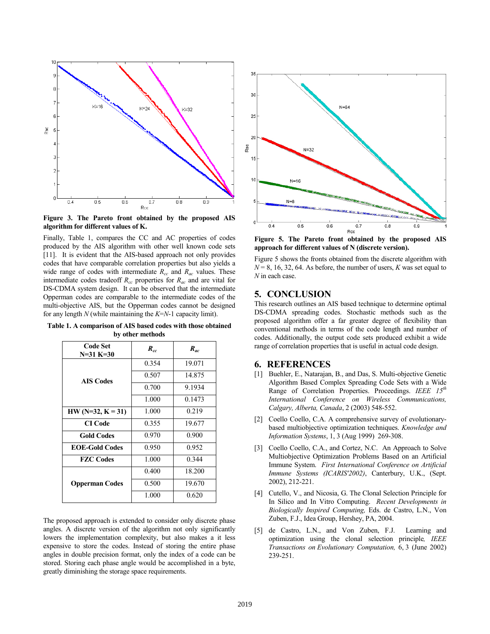

**Figure 3. The Pareto front obtained by the proposed AIS algorithm for different values of K.** 

Finally, Table 1, compares the CC and AC properties of codes produced by the AIS algorithm with other well known code sets [11]. It is evident that the AIS-based approach not only provides codes that have comparable correlation properties but also yields a wide range of codes with intermediate  $R_{cc}$  and  $R_{ac}$  values. These intermediate codes tradeoff  $R_{cc}$  properties for  $R_{ac}$  and are vital for DS-CDMA system design. It can be observed that the intermediate Opperman codes are comparable to the intermediate codes of the multi-objective AIS, but the Opperman codes cannot be designed for any length *N* (while maintaining the *K*=*N*-1 capacity limit).

**Table 1. A comparison of AIS based codes with those obtained by other methods** 

| <b>Code Set</b><br>$N=31 K=30$ | $R_{cc}$ | $R_{ac}$ |
|--------------------------------|----------|----------|
| <b>AIS Codes</b>               | 0.354    | 19.071   |
|                                | 0.507    | 14.875   |
|                                | 0.700    | 9.1934   |
|                                | 1.000    | 0.1473   |
| $HW(N=32, K=31)$               | 1.000    | 0.219    |
| <b>CI</b> Code                 | 0.355    | 19.677   |
| Gold Codes                     | 0.970    | 0.900    |
| <b>EOE-Gold Codes</b>          | 0.950    | 0.952    |
| <b>FZC Codes</b>               | 1.000    | 0.344    |
| <b>Opperman Codes</b>          | 0.400    | 18.200   |
|                                | 0.500    | 19.670   |
|                                | 1.000    | 0.620    |

The proposed approach is extended to consider only discrete phase angles. A discrete version of the algorithm not only significantly lowers the implementation complexity, but also makes a it less expensive to store the codes. Instead of storing the entire phase angles in double precision format, only the index of a code can be stored. Storing each phase angle would be accomplished in a byte, greatly diminishing the storage space requirements.



**Figure 5. The Pareto front obtained by the proposed AIS approach for different values of N (discrete version).** 

Figure 5 shows the fronts obtained from the discrete algorithm with  $N = 8$ , 16, 32, 64. As before, the number of users, *K* was set equal to *N* in each case.

## **5. CONCLUSION**

This research outlines an AIS based technique to determine optimal DS-CDMA spreading codes. Stochastic methods such as the proposed algorithm offer a far greater degree of flexibility than conventional methods in terms of the code length and number of codes. Additionally, the output code sets produced exhibit a wide range of correlation properties that is useful in actual code design.

## **6. REFERENCES**

- [1] Buehler, E., Natarajan, B., and Das, S. Multi-objective Genetic Algorithm Based Complex Spreading Code Sets with a Wide Range of Correlation Properties. Proceedings. *IEEE 15th International Conference on Wireless Communications, Calgary, Alberta, Canada*, 2 (2003) 548-552.
- [2] Coello Coello, C.A. A comprehensive survey of evolutionarybased multiobjective optimization techniques. *Knowledge and Information Systems*, 1, 3 (Aug 1999) 269-308.
- [3] Coello Coello, C.A., and Cortez, N.C. An Approach to Solve Multiobjective Optimization Problems Based on an Artificial Immune System. *First International Conference on Artificial Immune Systems (ICARIS'2002)*, Canterbury, U.K., (Sept. 2002), 212-221.
- [4] Cutello, V., and Nicosia, G. The Clonal Selection Principle for In Silico and In Vitro Computing. *Recent Developments in Biologically Inspired Computing,* Eds. de Castro, L.N., Von Zuben, F.J., Idea Group, Hershey, PA, 2004.
- [5] de Castro, L.N., and Von Zuben, F.J. Learning and optimization using the clonal selection principle*, IEEE Transactions on Evolutionary Computation,* 6, 3 (June 2002) 239-251.